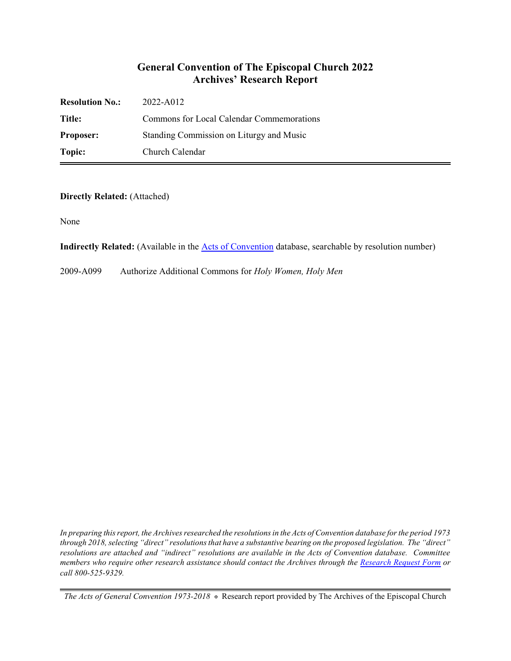## **General Convention of The Episcopal Church 2022 Archives' Research Report**

| <b>Resolution No.:</b> | 2022-A012                                 |
|------------------------|-------------------------------------------|
| Title:                 | Commons for Local Calendar Commemorations |
| <b>Proposer:</b>       | Standing Commission on Liturgy and Music  |
| Topic:                 | Church Calendar                           |

**Directly Related:** (Attached)

None

**Indirectly Related:** (Available in the [Acts of Convention](https://www.episcopalarchives.org/e-archives/acts/) database, searchable by resolution number)

2009-A099 Authorize Additional Commons for *Holy Women, Holy Men*

*In preparing this report, the Archives researched the resolutions in the Acts of Convention database for the period 1973 through 2018, selecting "direct" resolutions that have a substantive bearing on the proposed legislation. The "direct" resolutions are attached and "indirect" resolutions are available in the Acts of Convention database. Committee members who require other research assistance should contact the Archives through the Research [Request Form](https://www.episcopalarchives.org/contact/research-request-form) or call 800-525-9329.*

*The Acts of General Convention 1973-2018*  $*$  Research report provided by The Archives of the Episcopal Church